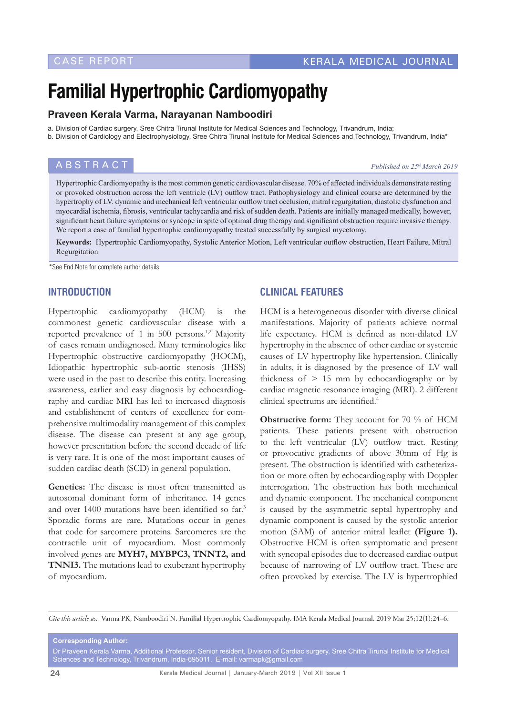# **Familial Hypertrophic Cardiomyopathy**

#### **Praveen Kerala Varma, Narayanan Namboodiri**

a. Division of Cardiac surgery, Sree Chitra Tirunal Institute for Medical Sciences and Technology, Trivandrum, India;

b. Division of Cardiology and Electrophysiology, Sree Chitra Tirunal Institute for Medical Sciences and Technology, Trivandrum, India\*

#### **ABSTRACT** *Published on 25<sup>th</sup> March 2019*

Hypertrophic Cardiomyopathy is the most common genetic cardiovascular disease. 70% of affected individuals demonstrate resting or provoked obstruction across the left ventricle (LV) outflow tract. Pathophysiology and clinical course are determined by the hypertrophy of LV. dynamic and mechanical left ventricular outflow tract occlusion, mitral regurgitation, diastolic dysfunction and myocardial ischemia, fibrosis, ventricular tachycardia and risk of sudden death. Patients are initially managed medically, however, significant heart failure symptoms or syncope in spite of optimal drug therapy and significant obstruction require invasive therapy. We report a case of familial hypertrophic cardiomyopathy treated successfully by surgical myectomy.

**Keywords:** Hypertrophic Cardiomyopathy, Systolic Anterior Motion, Left ventricular outflow obstruction, Heart Failure, Mitral Regurgitation

\*See End Note for complete author details

### **INTRODUCTION**

Hypertrophic cardiomyopathy (HCM) is the commonest genetic cardiovascular disease with a reported prevalence of 1 in 500 persons.<sup>1,2</sup> Majority of cases remain undiagnosed. Many terminologies like Hypertrophic obstructive cardiomyopathy (HOCM), Idiopathic hypertrophic sub-aortic stenosis (IHSS) were used in the past to describe this entity. Increasing awareness, earlier and easy diagnosis by echocardiography and cardiac MRI has led to increased diagnosis and establishment of centers of excellence for comprehensive multimodality management of this complex disease. The disease can present at any age group, however presentation before the second decade of life is very rare. It is one of the most important causes of sudden cardiac death (SCD) in general population.

Genetics: The disease is most often transmitted as autosomal dominant form of inheritance. 14 genes and over 1400 mutations have been identified so far.<sup>3</sup> Sporadic forms are rare. Mutations occur in genes that code for sarcomere proteins. Sarcomeres are the contractile unit of myocardium. Most commonly involved genes are **MYH7, MYBPC3, TNNT2, and TNNI3.** The mutations lead to exuberant hypertrophy of myocardium.

## **CLINICAL FEATURES**

HCM is a heterogeneous disorder with diverse clinical manifestations. Majority of patients achieve normal life expectancy. HCM is defined as non-dilated LV hypertrophy in the absence of other cardiac or systemic causes of LV hypertrophy like hypertension. Clinically in adults, it is diagnosed by the presence of LV wall thickness of  $> 15$  mm by echocardiography or by cardiac magnetic resonance imaging (MRI). 2 different clinical spectrums are identified.<sup>4</sup>

**Obstructive form:** They account for 70 % of HCM patients. These patients present with obstruction to the left ventricular (LV) outflow tract. Resting or provocative gradients of above 30mm of Hg is present. The obstruction is identified with catheterization or more often by echocardiography with Doppler interrogation. The obstruction has both mechanical and dynamic component. The mechanical component is caused by the asymmetric septal hypertrophy and dynamic component is caused by the systolic anterior motion (SAM) of anterior mitral leaflet **(Figure 1).**  Obstructive HCM is often symptomatic and present with syncopal episodes due to decreased cardiac output because of narrowing of LV outflow tract. These are often provoked by exercise. The LV is hypertrophied

*Cite this article as:* Varma PK, Namboodiri N. Familial Hypertrophic Cardiomyopathy. IMA Kerala Medical Journal. 2019 Mar 25;12(1):24–6.

**Corresponding Author:** Dr Praveen Kerala Varma, Additional Professor, Senior resident, Division of Cardiac surgery, Sree Chitra Tirunal Institute for Medical Sciences and Technology, Trivandrum, India-695011. E-mail: varmapk@gmail.com

**24** Kerala Medical Journal | January-March 2019 | Vol XII Issue 1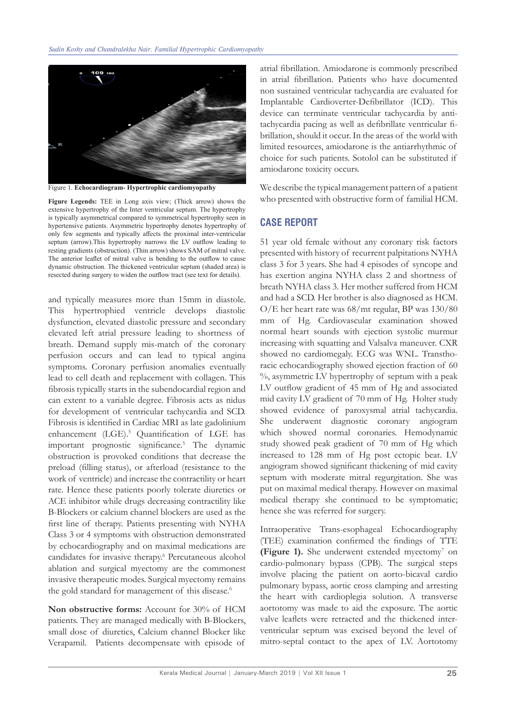

Figure 1. **Echocardiogram- Hypertrophic cardiomyopathy**

**Figure Legends:** TEE in Long axis view; (Thick arrow) shows the extensive hypertrophy of the Inter ventricular septum. The hypertrophy is typically asymmetrical compared to symmetrical hypertrophy seen in hypertensive patients. Asymmetric hypertrophy denotes hypertrophy of only few segments and typically affects the proximal inter-ventricular septum (arrow).This hypertrophy narrows the LV outflow leading to resting gradients (obstruction). (Thin arrow) shows SAM of mitral valve. The anterior leaflet of mitral valve is bending to the outflow to cause dynamic obstruction. The thickened ventricular septum (shaded area) is resected during surgery to widen the outflow tract (see text for details).

and typically measures more than 15mm in diastole. This hypertrophied ventricle develops diastolic dysfunction, elevated diastolic pressure and secondary elevated left atrial pressure leading to shortness of breath. Demand supply mis-match of the coronary perfusion occurs and can lead to typical angina symptoms. Coronary perfusion anomalies eventually lead to cell death and replacement with collagen. This fibrosis typically starts in the subendocardial region and can extent to a variable degree. Fibrosis acts as nidus for development of ventricular tachycardia and SCD. Fibrosis is identified in Cardiac MRI as late gadolinium enhancement (LGE).<sup>5</sup> Quantification of LGE has important prognostic significance.5 The dynamic obstruction is provoked conditions that decrease the preload (filling status), or afterload (resistance to the work of ventricle) and increase the contractility or heart rate. Hence these patients poorly tolerate diuretics or ACE inhibitor while drugs decreasing contractility like B-Blockers or calcium channel blockers are used as the first line of therapy. Patients presenting with NYHA Class 3 or 4 symptoms with obstruction demonstrated by echocardiography and on maximal medications are candidates for invasive therapy.<sup>6</sup> Percutaneous alcohol ablation and surgical myectomy are the commonest invasive therapeutic modes. Surgical myectomy remains the gold standard for management of this disease.<sup>6</sup>

**Non obstructive forms:** Account for 30% of HCM patients. They are managed medically with B-Blockers, small dose of diuretics, Calcium channel Blocker like Verapamil. Patients decompensate with episode of

atrial fibrillation. Amiodarone is commonly prescribed in atrial fibrillation. Patients who have documented non sustained ventricular tachycardia are evaluated for Implantable Cardioverter-Defibrillator (ICD). This device can terminate ventricular tachycardia by antitachycardia pacing as well as defibrillate ventricular fibrillation, should it occur. In the areas of the world with limited resources, amiodarone is the antiarrhythmic of choice for such patients. Sotolol can be substituted if amiodarone toxicity occurs.

We describe the typical management pattern of a patient who presented with obstructive form of familial HCM.

## **CASE REPORT**

51 year old female without any coronary risk factors presented with history of recurrent palpitations NYHA class 3 for 3 years. She had 4 episodes of syncope and has exertion angina NYHA class 2 and shortness of breath NYHA class 3. Her mother suffered from HCM and had a SCD. Her brother is also diagnosed as HCM. O/E her heart rate was 68/mt regular, BP was 130/80 mm of Hg. Cardiovascular examination showed normal heart sounds with ejection systolic murmur increasing with squatting and Valsalva maneuver. CXR showed no cardiomegaly. ECG was WNL. Transthoracic echocardiography showed ejection fraction of 60  $\%$ , asymmetric LV hypertrophy of septum with a peak LV outflow gradient of 45 mm of Hg and associated mid cavity LV gradient of 70 mm of Hg. Holter study showed evidence of paroxysmal atrial tachycardia. She underwent diagnostic coronary angiogram which showed normal coronaries. Hemodynamic study showed peak gradient of 70 mm of Hg which increased to 128 mm of Hg post ectopic beat. LV angiogram showed significant thickening of mid cavity septum with moderate mitral regurgitation. She was put on maximal medical therapy. However on maximal medical therapy she continued to be symptomatic; hence she was referred for surgery.

Intraoperative Trans-esophageal Echocardiography (TEE) examination confirmed the findings of TTE **(Figure 1).** She underwent extended myectomy<sup>7</sup> on cardio-pulmonary bypass (CPB). The surgical steps involve placing the patient on aorto-bicaval cardio pulmonary bypass, aortic cross clamping and arresting the heart with cardioplegia solution. A transverse aortotomy was made to aid the exposure. The aortic valve leaflets were retracted and the thickened interventricular septum was excised beyond the level of mitro-septal contact to the apex of LV. Aortotomy